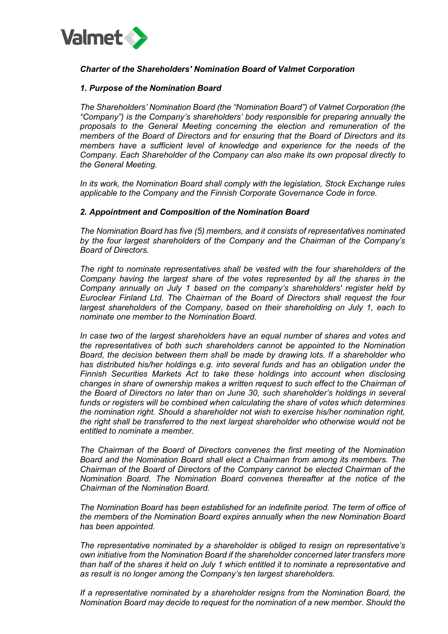

# *Charter of the Shareholders' Nomination Board of Valmet Corporation*

### *1. Purpose of the Nomination Board*

*The Shareholders' Nomination Board (the "Nomination Board") of Valmet Corporation (the "Company") is the Company's shareholders' body responsible for preparing annually the proposals to the General Meeting concerning the election and remuneration of the members of the Board of Directors and for ensuring that the Board of Directors and its members have a sufficient level of knowledge and experience for the needs of the Company. Each Shareholder of the Company can also make its own proposal directly to the General Meeting.* 

*In its work, the Nomination Board shall comply with the legislation, Stock Exchange rules applicable to the Company and the Finnish Corporate Governance Code in force.* 

### *2. Appointment and Composition of the Nomination Board*

*The Nomination Board has five (5) members, and it consists of representatives nominated by the four largest shareholders of the Company and the Chairman of the Company's Board of Directors.* 

*The right to nominate representatives shall be vested with the four shareholders of the Company having the largest share of the votes represented by all the shares in the Company annually on July 1 based on the company's shareholders' register held by Euroclear Finland Ltd. The Chairman of the Board of Directors shall request the four largest shareholders of the Company, based on their shareholding on July 1, each to nominate one member to the Nomination Board.* 

*In case two of the largest shareholders have an equal number of shares and votes and the representatives of both such shareholders cannot be appointed to the Nomination Board, the decision between them shall be made by drawing lots. If a shareholder who has distributed his/her holdings e.g. into several funds and has an obligation under the Finnish Securities Markets Act to take these holdings into account when disclosing changes in share of ownership makes a written request to such effect to the Chairman of the Board of Directors no later than on June 30, such shareholder's holdings in several funds or registers will be combined when calculating the share of votes which determines the nomination right. Should a shareholder not wish to exercise his/her nomination right, the right shall be transferred to the next largest shareholder who otherwise would not be entitled to nominate a member.* 

*The Chairman of the Board of Directors convenes the first meeting of the Nomination Board and the Nomination Board shall elect a Chairman from among its members. The Chairman of the Board of Directors of the Company cannot be elected Chairman of the Nomination Board. The Nomination Board convenes thereafter at the notice of the Chairman of the Nomination Board.* 

*The Nomination Board has been established for an indefinite period. The term of office of the members of the Nomination Board expires annually when the new Nomination Board has been appointed.* 

*The representative nominated by a shareholder is obliged to resign on representative's own initiative from the Nomination Board if the shareholder concerned later transfers more than half of the shares it held on July 1 which entitled it to nominate a representative and as result is no longer among the Company's ten largest shareholders.* 

*If a representative nominated by a shareholder resigns from the Nomination Board, the Nomination Board may decide to request for the nomination of a new member. Should the*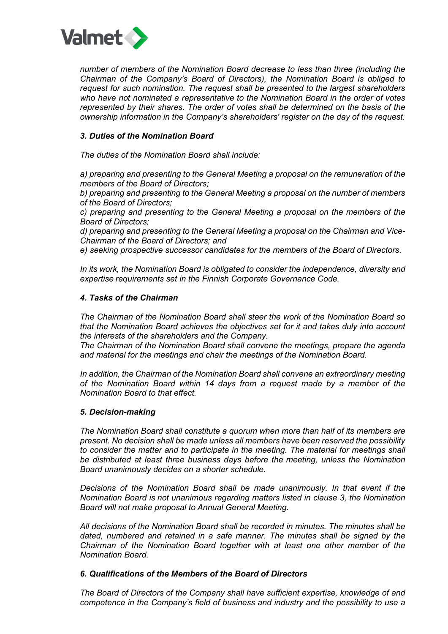

*number of members of the Nomination Board decrease to less than three (including the Chairman of the Company's Board of Directors), the Nomination Board is obliged to request for such nomination. The request shall be presented to the largest shareholders who have not nominated a representative to the Nomination Board in the order of votes represented by their shares. The order of votes shall be determined on the basis of the ownership information in the Company's shareholders' register on the day of the request.* 

# *3. Duties of the Nomination Board*

*The duties of the Nomination Board shall include:* 

*a) preparing and presenting to the General Meeting a proposal on the remuneration of the members of the Board of Directors;* 

*b) preparing and presenting to the General Meeting a proposal on the number of members of the Board of Directors;* 

*c) preparing and presenting to the General Meeting a proposal on the members of the Board of Directors;* 

*d) preparing and presenting to the General Meeting a proposal on the Chairman and Vice-Chairman of the Board of Directors; and* 

*e) seeking prospective successor candidates for the members of the Board of Directors.* 

*In its work, the Nomination Board is obligated to consider the independence, diversity and expertise requirements set in the Finnish Corporate Governance Code.*

### *4. Tasks of the Chairman*

*The Chairman of the Nomination Board shall steer the work of the Nomination Board so that the Nomination Board achieves the objectives set for it and takes duly into account the interests of the shareholders and the Company.* 

*The Chairman of the Nomination Board shall convene the meetings, prepare the agenda and material for the meetings and chair the meetings of the Nomination Board.* 

*In addition, the Chairman of the Nomination Board shall convene an extraordinary meeting of the Nomination Board within 14 days from a request made by a member of the Nomination Board to that effect.* 

### *5. Decision-making*

*The Nomination Board shall constitute a quorum when more than half of its members are present. No decision shall be made unless all members have been reserved the possibility to consider the matter and to participate in the meeting. The material for meetings shall be distributed at least three business days before the meeting, unless the Nomination Board unanimously decides on a shorter schedule.*

*Decisions of the Nomination Board shall be made unanimously. In that event if the Nomination Board is not unanimous regarding matters listed in clause 3, the Nomination Board will not make proposal to Annual General Meeting.*

*All decisions of the Nomination Board shall be recorded in minutes. The minutes shall be dated, numbered and retained in a safe manner. The minutes shall be signed by the Chairman of the Nomination Board together with at least one other member of the Nomination Board.* 

# *6. Qualifications of the Members of the Board of Directors*

*The Board of Directors of the Company shall have sufficient expertise, knowledge of and competence in the Company's field of business and industry and the possibility to use a*